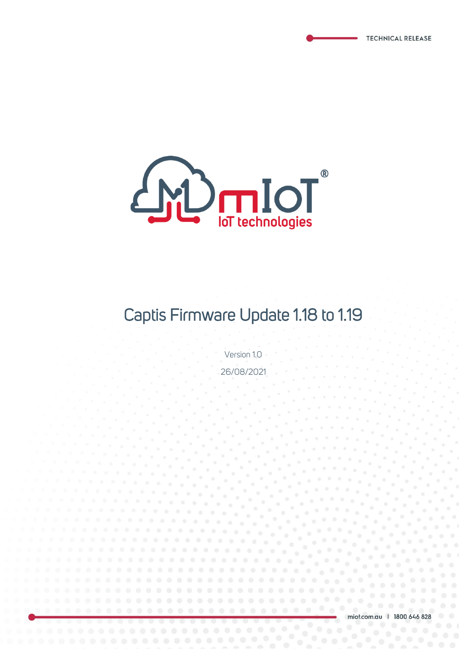

# Captis Firmware Update 1.18 to 1.19

Version 1.0 26/08/2021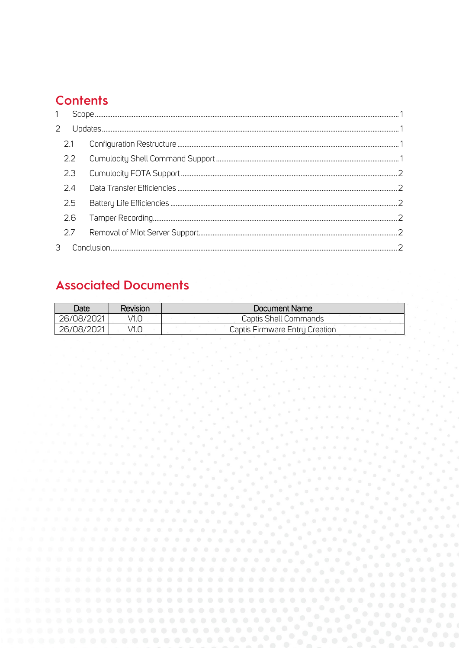# **Contents**

| $\mathbf{1}$ |     |  |  |  |
|--------------|-----|--|--|--|
| 2            |     |  |  |  |
|              | 2.1 |  |  |  |
|              | 2.2 |  |  |  |
|              | 2.3 |  |  |  |
|              | 2.4 |  |  |  |
|              | 2.5 |  |  |  |
|              | 2.6 |  |  |  |
|              | 2.7 |  |  |  |
|              |     |  |  |  |

# **Associated Documents**

| Date       | Revision | Document Name                  |
|------------|----------|--------------------------------|
| 26/08/2021 | /1.O     | Captis Shell Commands          |
| 26/08/2021 | /1.O     | Captis Firmware Entry Creation |

 $\frac{1}{\sqrt{2}}$ 

**CONTRACTOR** 

 $0 - 0 - 1$  $\sigma=\sigma-\sigma$ 

 $\frac{1}{2}$  .  $\frac{1}{2}$  $\frac{1}{\alpha}$  .

 $\mathcal{L}$ 

 $\sim$  $\sim$  $\frac{1}{\beta}$  .

 $\frac{1}{\sigma}$ 

 $\mu \propto 0$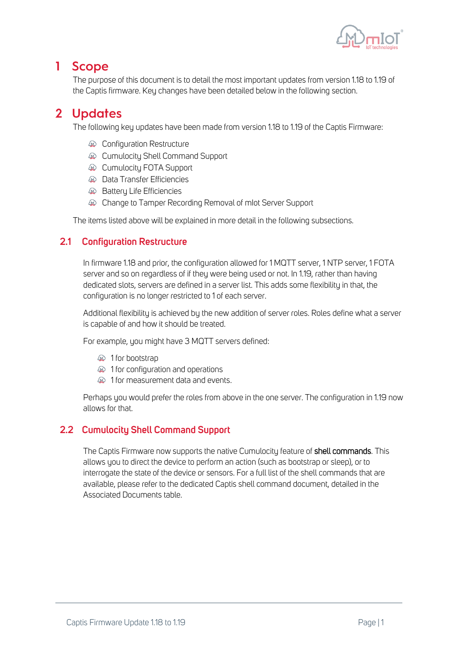

### <span id="page-2-0"></span>1 Scope

The purpose of this document is to detail the most important updates from version 1.18 to 1.19 of the Captis firmware. Key changes have been detailed below in the following section.

## <span id="page-2-1"></span>2 Updates

The following key updates have been made from version 1.18 to 1.19 of the Captis Firmware:

- **A Configuration Restructure**
- **A Cumulocity Shell Command Support**
- **A Cumulocity FOTA Support**
- **A Data Transfer Efficiencies**
- **AD** Battery Life Efficiencies
- Change to Tamper Recording Removal of mIot Server Support

The items listed above will be explained in more detail in the following subsections.

#### <span id="page-2-2"></span>**2.1 Configuration Restructure**

In firmware 1.18 and prior, the configuration allowed for 1 MQTT server, 1 NTP server, 1 FOTA server and so on regardless of if they were being used or not. In 1.19, rather than having dedicated slots, servers are defined in a server list. This adds some flexibility in that, the configuration is no longer restricted to 1 of each server.

Additional flexibility is achieved by the new addition of server roles. Roles define what a server is capable of and how it should be treated.

For example, you might have 3 MQTT servers defined:

- **A** 1 for bootstrap
- $\circledR$  1 for configuration and operations
- $\circledR$  1 for measurement data and events.

Perhaps you would prefer the roles from above in the one server. The configuration in 1.19 now allows for that.

#### <span id="page-2-3"></span>**2.2 Cumulocity Shell Command Support**

The Captis Firmware now supports the native Cumulocity feature of shell commands. This allows you to direct the device to perform an action (such as bootstrap or sleep), or to interrogate the state of the device or sensors. For a full list of the shell commands that are available, please refer to the dedicated Captis shell command document, detailed in the Associated Documents table.